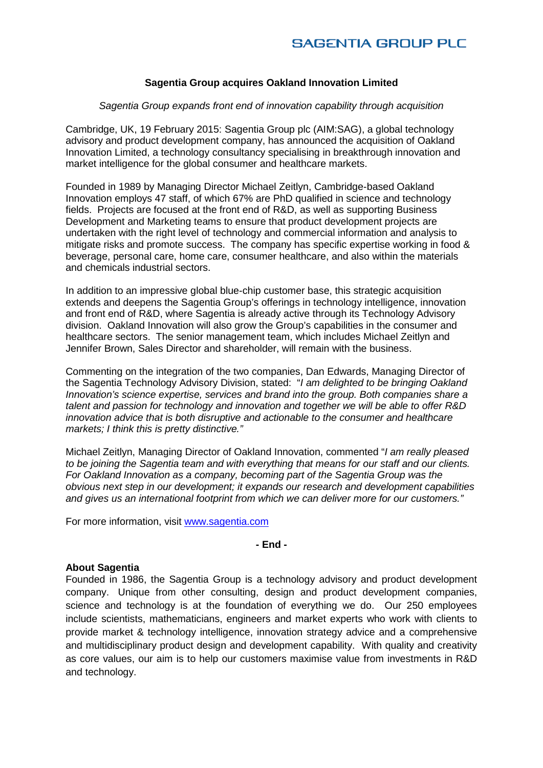## **Sagentia Group acquires Oakland Innovation Limited**

### *Sagentia Group expands front end of innovation capability through acquisition*

Cambridge, UK, 19 February 2015: Sagentia Group plc (AIM:SAG), a global technology advisory and product development company, has announced the acquisition of Oakland Innovation Limited, a technology consultancy specialising in breakthrough innovation and market intelligence for the global consumer and healthcare markets.

Founded in 1989 by Managing Director Michael Zeitlyn, Cambridge-based Oakland Innovation employs 47 staff, of which 67% are PhD qualified in science and technology fields. Projects are focused at the front end of R&D, as well as supporting Business Development and Marketing teams to ensure that product development projects are undertaken with the right level of technology and commercial information and analysis to mitigate risks and promote success. The company has specific expertise working in food & beverage, personal care, home care, consumer healthcare, and also within the materials and chemicals industrial sectors.

In addition to an impressive global blue-chip customer base, this strategic acquisition extends and deepens the Sagentia Group's offerings in technology intelligence, innovation and front end of R&D, where Sagentia is already active through its Technology Advisory division. Oakland Innovation will also grow the Group's capabilities in the consumer and healthcare sectors. The senior management team, which includes Michael Zeitlyn and Jennifer Brown, Sales Director and shareholder, will remain with the business.

Commenting on the integration of the two companies, Dan Edwards, Managing Director of the Sagentia Technology Advisory Division, stated: "*I am delighted to be bringing Oakland Innovation's science expertise, services and brand into the group. Both companies share a talent and passion for technology and innovation and together we will be able to offer R&D innovation advice that is both disruptive and actionable to the consumer and healthcare markets; I think this is pretty distinctive."*

Michael Zeitlyn, Managing Director of Oakland Innovation, commented "*I am really pleased to be joining the Sagentia team and with everything that means for our staff and our clients. For Oakland Innovation as a company, becoming part of the Sagentia Group was the obvious next step in our development; it expands our research and development capabilities and gives us an international footprint from which we can deliver more for our customers."*

For more information, visit [www.sagentia.com](http://www.sagentia.com/)

### **- End -**

#### **About Sagentia**

Founded in 1986, the Sagentia Group is a technology advisory and product development company. Unique from other consulting, design and product development companies, science and technology is at the foundation of everything we do. Our 250 employees include scientists, mathematicians, engineers and market experts who work with clients to provide market & technology intelligence, innovation strategy advice and a comprehensive and multidisciplinary product design and development capability. With quality and creativity as core values, our aim is to help our customers maximise value from investments in R&D and technology.